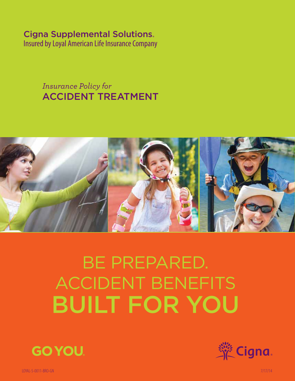# Cigna Supplemental Solutions

Insured by Loyal American Life Insurance Company

*Insurance Policy for* ACCIDENT TREATMENT



# BE PREPARED. ACCIDENT BENEFITS built for You





LOYAL-5-0011-BRO-GN 7/17/14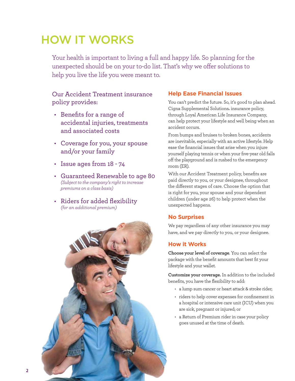# HOW IT WORKS

Your health is important to living a full and happy life. So planning for the unexpected should be on your to-do list. That's why we offer solutions to help you live the life you were meant to.

# Our Accident Treatment insurance policy provides:

- • Benefits for a range of accidental injuries, treatments and associated costs
- • Coverage for you, your spouse and/or your family
- • Issue ages from 18 74
- • Guaranteed Renewable to age 80 *(Subject to the company's right to increase premiums on a class basis)*
- Riders for added flexibility *(for an additional premium)*



# **Help Ease Financial Issues**

You can't predict the future. So, it's good to plan ahead. Cigna Supplemental Solutions® insurance policy, through Loyal American Life Insurance Company, can help protect your lifestyle and well being when an accident occurs.

From bumps and bruises to broken bones, accidents are inevitable, especially with an active lifestyle. Help ease the financial issues that arise when you injure yourself playing tennis or when your five-year old falls off the playground and is rushed to the emergency room (ER).

With our Accident Treatment policy, benefits are paid directly to you, or your designee, throughout the different stages of care. Choose the option that is right for you, your spouse and your dependent children (under age 26) to help protect when the unexpected happens.

# **No Surprises**

We pay regardless of any other insurance you may have, and we pay directly to you, or your designee.

# **How it Works**

**Choose your level of coverage**. You can select the package with the benefit amounts that best fit your lifestyle and your wallet.

**Customize your coverage.** In addition to the included benefits, you have the flexibility to add:

- • a lump sum cancer or heart attack & stroke rider;
- riders to help cover expenses for confinement in a hospital or intensive care unit (ICU) when you are sick, pregnant or injured; or
- a Return of Premium rider in case your policy goes unused at the time of death.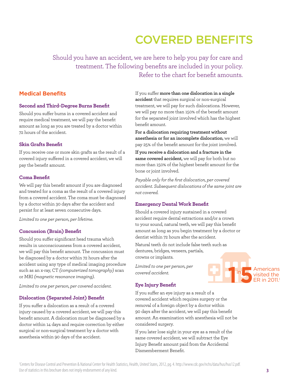# COVERED BENEFITS

Should you have an accident, we are here to help you pay for care and treatment. The following benefits are included in your policy. Refer to the chart for benefit amounts.

#### **Medical Benefits**

#### **Second and Third-Degree Burns Benefit**

Should you suffer burns in a covered accident and require medical treatment, we will pay the benefit amount as long as you are treated by a doctor within 72 hours of the accident.

#### **Skin Grafts Benefit**

If you receive one or more skin grafts as the result of a covered injury suffered in a covered accident, we will pay the benefit amount.

#### **Coma Benefit**

We will pay this benefit amount if you are diagnosed and treated for a coma as the result of a covered injury from a covered accident. The coma must be diagnosed by a doctor within 30 days after the accident and persist for at least seven consecutive days.

*Limited to one per person, per lifetime.*

#### **Concussion (Brain) Benefit**

Should you suffer significant head trauma which results in unconsciousness from a covered accident, we will pay this benefit amount. The concussion must be diagnosed by a doctor within 72 hours after the accident using any type of medical imaging procedure such as an x-ray, CT *(computerized tomography)* scan or MRI *(magnetic resonance imaging)*.

*Limited to one per person, per covered accident.*

#### **Dislocation (Separated Joint) Benefit**

If you suffer a dislocation as a result of a covered injury caused by a covered accident, we will pay this benefit amount. A dislocation must be diagnosed by a doctor within 14 days and require correction by either surgical or non-surgical treatment by a doctor with anesthesia within 90 days of the accident.

If you suffer **more than one dislocation in a single accident** that requires surgical or non-surgical treatment, we will pay for such dislocations. However, we will pay no more than 150% of the benefit amount for the separated joint involved which has the highest benefit amount.

**For a dislocation requiring treatment without anesthesia or for an incomplete dislocation**, we will pay 25% of the benefit amount for the joint involved.

**If you receive a dislocation and a fracture in the same covered accident,** we will pay for both but no more than 150% of the highest benefit amount for the bone or joint involved.

*Payable only for the first dislocation, per covered accident. Subsequent dislocations of the same joint are not covered.* 

#### **Emergency Dental Work Benefit**

Should a covered injury sustained in a covered accident require dental extractions and/or a crown to your sound, natural teeth, we will pay this benefit amount as long as you begin treatment by a doctor or dentist within 72 hours after the accident.

Natural teeth do not include false teeth such as dentures, bridges, veneers, partials, crowns or implants.

*Limited to one per person, per covered accident.*

#### **Eye Injury Benefit**

If you suffer an eye injury as a result of a covered accident which requires surgery or the removal of a foreign object by a doctor within 90 days after the accident, we will pay this benefit amount. An examination with anesthesia will not be considered surgery.

If you later lose sight in your eye as a result of the same covered accident, we will subtract the Eye Injury Benefit amount paid from the Accidental Dismemberment Benefit.



**1** Americans visited the ER in 2011.<sup>1</sup>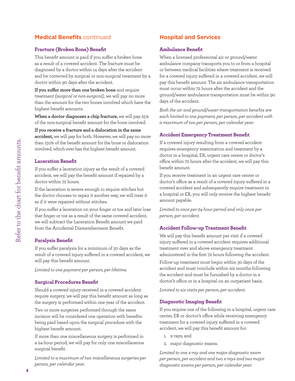# **Medical Benefits** continued

#### **Fracture (Broken Bone) Benefit**

This benefit amount is paid if you suffer a broken bone as a result of a covered accident. The fracture must be diagnosed by a doctor within 14 days after the accident and be corrected by surgical or non-surgical treatment by a doctor within 90 days after the accident.

**If you suffer more than one broken bone** and require treatment *(surgical or non-surgical)*, we will pay no more than the amount for the two bones involved which have the highest benefit amounts.

**When a doctor diagnoses a chip fracture,** we will pay 25% of the non-surgical benefit amount for the bone involved.

**If you receive a fracture and a dislocation in the same accident,** we will pay for both. However, we will pay no more than 150% of the benefit amount for the bone or dislocation involved, which ever has the highest benefit amount.

#### **Laceration Benefit**

If you suffer a laceration injury as the result of a covered accident, we will pay the benefit amount if repaired by a doctor within 72 hours.

If the laceration is severe enough to require stitches but the doctor chooses to repair it another way, we will treat it as if it were repaired without stitches.

If you suffer a laceration on your finger or toe and later lose that finger or toe as a result of the same covered accident, we will subtract the Laceration Benefit amount we paid from the Accidental Dismemberment Benefit.

#### **Paralysis Benefit**

If you suffer paralysis for a minimum of 30 days as the result of a covered injury suffered in a covered accident, we will pay this benefit amount.

*Limited to one payment per person, per lifetime.*

#### **Surgical Procedures Benefit**

Should a covered injury received in a covered accident require surgery, we will pay this benefit amount as long as the surgery is performed within one year of the accident.

Two or more surgeries performed through the same incision will be considered one operation with benefits being paid based upon the surgical procedure with the highest benefit amount.

If more than one miscellaneous surgery is performed in a 24-hour period, we will pay for only one miscellaneous surgical benefit.

*Limited to a maximum of two miscellaneous surgeries per person, per calendar year.*

# **Hospital and Services**

#### **Ambulance Benefit**

When a licensed professional air or ground/water ambulance company transports you to or from a hospital or between medical facilities where treatment is received for a covered injury suffered in a covered accident, we will pay this benefit amount. The air ambulance transportation must occur within 72 hours after the accident and the ground/water ambulance transportation must be within 90 days of the accident.

*Both the air and ground/water transportation benefits are each limited to one payment, per person, per accident with a maximum of two per person, per calendar year.* 

#### **Accident Emergency Treatment Benefit**

If a covered injury resulting from a covered accident requires emergency examination and treatment by a doctor in a hospital, ER, urgent care center or doctor's office within 72 hours after the accident, we will pay this benefit amount.

If you receive treatment in an urgent care center or doctor's office as a result of a covered injury suffered in a covered accident and subsequently require treatment in a hospital or ER, you will only receive the highest benefit amount payable.

*Limited to once per 24-hour period and only once per person, per accident.*

#### **Accident Follow-up Treatment Benefit**

We will pay this benefit amount per visit if a covered injury suffered in a covered accident requires additional treatment over and above emergency treatment administered in the first 72 hours following the accident.

Follow-up treatment must begin within 30 days of the accident and must conclude within six months following the accident and must be furnished by a doctor in a doctor's office or in a hospital on an outpatient basis.

*Limited to six visits per person, per accident.* 

#### **Diagnostic Imaging Benefit**

If you require one of the following in a hospital, urgent care center, ER or doctor's office while receiving emergency treatment for a covered injury suffered in a covered accident, we will pay this benefit amount for:

- 1. x-rays; and
- 2. major diagnostic exams.

*Limited to one x-ray and one major diagnostic exam per person, per accident and two x-rays and two major diagnostic exams per person, per calendar year.*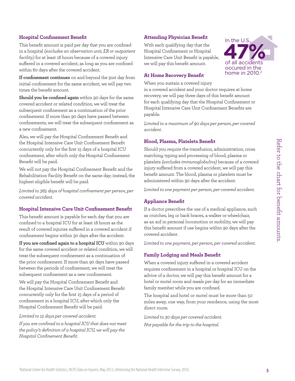#### **Hospital Confinement Benefit**

This benefit amount is paid per day that you are confined in a hospital *(excludes an observation unit, ER or outpatient facility)* for at least 18 hours because of a covered injury suffered in a covered accident, as long as you are confined within 60 days after the covered accident.

**If confinement continues** on and beyond the 91st day from initial confinement for the same accident, we will pay two times the benefit amount.

**Should you be confined again** within 90 days for the same covered accident or related condition, we will treat the subsequent confinement as a continuation of the prior confinement. If more than 90 days have passed between confinements, we will treat the subsequent confinement as a new confinement.

Also, we will pay the Hospital Confinement Benefit and the Hospital Intensive Care Unit Confinement Benefit concurrently only for the first 15 days of a hospital ICU confinement, after which only the Hospital Confinement Benefit will be paid.

We will not pay the Hospital Confinement Benefit and the Rehabilitation Facility Benefit on the same day; instead, the highest eligible benefit will be paid.

*Limited to 365 days of hospital confinement per person, per covered accident.* 

#### **Hospital Intensive Care Unit Confinement Benefit**

This benefit amount is payable for each day that you are confined to a hospital ICU for at least 18 hours as the result of covered injuries suffered in a covered accident if confinement begins within 30 days after the accident.

**If you are confined again to a hospital ICU** within 90 days for the same covered accident or related condition, we will treat the subsequent confinement as a continuation of the prior confinement. If more than 90 days have passed between the periods of confinement, we will treat the subsequent confinement as a new confinement.

We will pay the Hospital Confinement Benefit and the Hospital Intensive Care Unit Confinement Benefit concurrently only for the first 15 days of a period of confinement in a hospital ICU, after which only the Hospital Confinement Benefit will be paid.

#### *Limited to 15 days per covered accident.*

*If you are confined to a hospital ICU that does not meet the policy's definition of a hospital ICU, we will pay the Hospital Confinement Benefit.* 

#### **Attending Physician Benefit**

With each qualifying day that the Hospital Confinement or Hospital Intensive Care Unit Benefit is payable, we will pay this benefit amount.



#### **At Home Recovery Benefit**

When you sustain a covered injury

in a covered accident and your doctor requires at home recovery, we will pay three days of this benefit amount for each qualifying day that the Hospital Confinement or Hospital Intensive Care Unit Confinement Benefits are payable.

*Limited to a maximum of 90 days per person, per covered accident.*

#### **Blood, Plasma, Platelets Benefit**

Should you require the transfusion, administration, cross matching, typing and processing of blood, plasma or platelets *(excludes immunoglobulins)* because of a covered injury suffered from a covered accident, we will pay this benefit amount. The blood, plasma or platelets must be administered within 90 days after the accident.

*Limited to one payment per person, per covered accident.* 

#### **Appliance Benefit**

If a doctor prescribes the use of a medical appliance, such as crutches, leg or back braces, a walker or wheelchair, as an aid in personal locomotion or mobility, we will pay this benefit amount if use begins within 90 days after the covered accident.

*Limited to one payment, per person, per covered accident.* 

#### **Family Lodging and Meals Benefit**

When a covered injury suffered in a covered accident requires confinement in a hospital or hospital ICU on the advice of a doctor, we will pay this benefit amount for a hotel or motel room and meals per day for an immediate family member while you are confined.

The hospital and hotel or motel must be more than 50 miles away, one way, from your residence, using the most direct route.

*Limited to 30 days per covered accident. Not payable for the trip to the hospital.*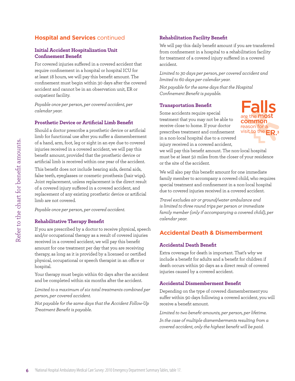# **Hospital and Services** continued

#### **Initial Accident Hospitalization Unit Confinement Benefit**

For covered injuries suffered in a covered accident that require confinement in a hospital or hospital ICU for at least 18 hours, we will pay this benefit amount. The confinement must begin within 30 days after the covered accident and cannot be in an observation unit, ER or outpatient facility.

*Payable once per person, per covered accident, per calendar year.*

#### **Prosthetic Device or Artificial Limb Benefit**

Should a doctor prescribe a prosthetic device or artificial limb for functional use after you suffer a dismemberment of a hand, arm, foot, leg or sight in an eye due to covered injuries received in a covered accident, we will pay this benefit amount, provided that the prosthetic device or artificial limb is received within one year of the accident.

This benefit does not include hearing aids, dental aids, false teeth, eyeglasses or cosmetic prosthesis (hair wigs). Joint replacement, unless replacement is the direct result of a covered injury suffered in a covered accident, and replacement of any existing prosthetic device or artificial limb are not covered.

*Payable once per person, per covered accident.*

#### **Rehabilitative Therapy Benefit**

If you are prescribed by a doctor to receive physical, speech and/or occupational therapy as a result of covered injuries received in a covered accident, we will pay this benefit amount for one treatment per day that you are receiving therapy, as long as it is provided by a licensed or certified physical, occupational or speech therapist in an office or hospital.

Your therapy must begin within 60 days after the accident and be completed within six months after the accident.

*Limited to a maximum of six total treatments combined per person, per covered accident.* 

*Not payable for the same days that the Accident Follow-Up Treatment Benefit is payable.*

#### **Rehabilitation Facility Benefit**

We will pay this daily benefit amount if you are transferred from confinement in a hospital to a rehabilitation facility for treatment of a covered injury suffered in a covered accident.

*Limited to 30 days per person, per covered accident and limited to 60 days per calendar year.* 

*Not payable for the same days that the Hospital Confinement Benefit is payable.*

#### **Transportation Benefit**

Some accidents require special treatment that you may not be able to receive close to home. If your doctor prescribes treatment and confinement in a non-local hospital due to a covered injury received in a covered accident,



we will pay this benefit amount. The non-local hospital must be at least 50 miles from the closer of your residence or the site of the accident.

We will also pay this benefit amount for one immediate family member to accompany a covered child, who requires special treatment and confinement in a non-local hospital due to covered injuries received in a covered accident.

*Travel excludes air or ground/water ambulance and is limited to three round trips per person or immediate family member (only if accompanying a covered child), per calendar year.*

### **Accidental Death & Dismemberment**

#### **Accidental Death Benefit**

Extra coverage for death is important. That's why we include a benefit for adults and a benefit for children if death occurs within 90 days as a direct result of covered injuries caused by a covered accident.

#### **Accidental Dismemberment Benefit**

Depending on the type of covered dismembermentyou suffer within 90 days following a covered accident, you will receive a benefit amount.

*Limited to two benefit amounts, per person, per lifetime.*

*In the case of multiple dismemberments resulting from a covered accident, only the highest benefit will be paid.*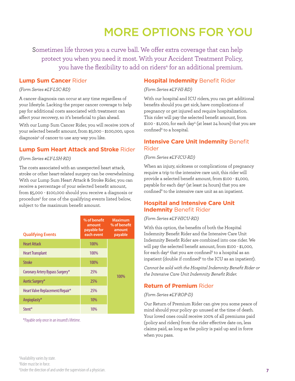# MORE OPTIONS FOR YOU

Sometimes life throws you a curve ball. We offer extra coverage that can help protect you when you need it most. With your Accident Treatment Policy, you have the flexibility to add on riders<sup>4</sup> for an additional premium.

#### **Lump Sum Cancer** Rider

#### *(Form Series #LY-LSC-RD)*

A cancer diagnosis can occur at any time regardless of your lifestyle. Lacking the proper cancer coverage to help pay for additional costs associated with treatment can affect your recovery, so it's beneficial to plan ahead.

With our Lump Sum Cancer Rider, you will receive 100% of your selected benefit amount, from \$5,000 - \$100,000, upon diagnosis<sup>5</sup> of cancer to use any way you like.

### **Lump Sum Heart Attack and Stroke** Rider

#### *(Form Series #LY-LSH-RD)*

The costs associated with an unexpected heart attack, stroke or other heart-related surgery can be overwhelming. With our Lump Sum Heart Attack & Stroke Rider, you can receive a percentage of your selected benefit amount, from \$5,000 - \$100,000 should you receive a diagnosis or procedure<sup>5</sup> for one of the qualifying events listed below, subject to the maximum benefit amount.

| <b>Qualifying Events</b>        | % of benefit<br>amount<br>payable for<br>each event | <b>Maximum</b><br>% of benefit<br>amount<br>payable |  |
|---------------------------------|-----------------------------------------------------|-----------------------------------------------------|--|
| <b>Heart Attack</b>             | 100%                                                |                                                     |  |
| <b>Heart Transplant</b>         | 100%                                                |                                                     |  |
| <b>Stroke</b>                   | 100%                                                |                                                     |  |
| Coronary Artery Bypass Surgery* | 25%                                                 |                                                     |  |
| Aortic Surgery*                 | 25%                                                 | 100%                                                |  |
| Heart Valve Replacement/Repair* | 25%                                                 |                                                     |  |
| Angioplasty*                    | 10%                                                 |                                                     |  |
| Stent*                          | 10%                                                 |                                                     |  |

\*Payable only once in an insured's lifetime.

### **Hospital Indemnity** Benefit Rider

#### *(Form Series #LY-HI-RD)*

With our hospital and ICU riders, you can get additional benefits should you get sick, have complications of pregnancy or get injured and require hospitalization. This rider will pay the selected benefit amount, from \$100 - \$1,000, for each day5 (at least 24 hours) that you are confined<sup>6</sup> to a hospital.

### **Intensive Care Unit Indemnity** Benefit Rider

#### *(Form Series #LY-ICU-RD)*

When an injury, sickness or complications of pregnancy require a trip to the intensive care unit, this rider will provide a selected benefit amount, from \$100 - \$1,000, payable for each day<sup>5</sup> (at least 24 hours) that you are confined<sup>6</sup> to the intensive care unit as an inpatient.

# **Hospital and Intensive Care Unit Indemnity** Benefit Rider

#### *(Form Series #LY-HICU-RD)*

With this option, the benefits of both the Hospital Indemnity Benefit Rider and the Intensive Care Unit Indemnity Benefit Rider are combined into one rider. We will pay the selected benefit amount, from \$100 - \$1,000, for each day<sup>5</sup> that you are confined $^6$  to a hospital as an inpatient (double if confined<sup>6</sup> to the ICU as an inpatient).

*Cannot be sold with the Hospital Indemnity Benefit Rider or the Intensive Care Unit Indemnity Benefit Rider.*

# **Return of Premium** Rider

#### *(Form Series #LY-ROP-D)*

Our Return of Premium Rider can give you some peace of mind should your policy go unused at the time of death. Your loved ones could receive 100% of all premiums paid (policy and riders) from the rider effective date on, less claims paid, as long as the policy is paid up and in force when you pass.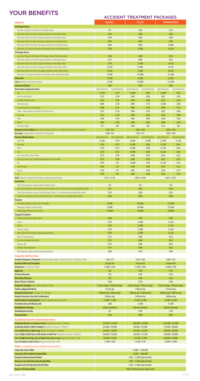# ACCIDENT TREATMENT PACKAGES

| <b>Medical</b>                                                                                                                                                                                                         |                                                                                                      | <b>BASIC</b>            | <b>PLUS</b>                                |                         | <b>ENHANCED</b>                            |                         |  |
|------------------------------------------------------------------------------------------------------------------------------------------------------------------------------------------------------------------------|------------------------------------------------------------------------------------------------------|-------------------------|--------------------------------------------|-------------------------|--------------------------------------------|-------------------------|--|
| <b>2nd Degree Burns</b>                                                                                                                                                                                                |                                                                                                      |                         |                                            |                         |                                            |                         |  |
| Less than 20 square centimeters of the body surface<br>More than 20 but less than 40 square centimeters of the body surface                                                                                            | \$75<br>\$150                                                                                        |                         | \$100<br>\$200                             |                         | \$125<br>\$250                             |                         |  |
| More than 40 but less than 65 square centimeters of the body surface                                                                                                                                                   | \$300                                                                                                |                         | \$400                                      |                         | \$500                                      |                         |  |
| More than 65 but less than 160 square centimeters of the body surface                                                                                                                                                  | \$450                                                                                                |                         | \$600                                      |                         | \$750                                      |                         |  |
| More than 160 but less than 225 square centimeters of the body surface                                                                                                                                                 | \$600                                                                                                |                         | \$800                                      |                         | \$1,000                                    |                         |  |
| More than 225 square centimeters of the body surface of the body surface<br><b>3rd Degree Burns</b>                                                                                                                    | \$750<br>\$1,000                                                                                     |                         | \$1,250                                    |                         |                                            |                         |  |
| Less than 20 square centimeters of the body surface of the body surface                                                                                                                                                | \$150<br>\$200                                                                                       |                         |                                            | \$250                   |                                            |                         |  |
| More than 20 but less than 40 square centimeters of the body surface                                                                                                                                                   | \$375                                                                                                |                         | \$500                                      |                         | \$625                                      |                         |  |
| More than 40 but less than 65 square centimeters of the body surface<br>More than 65 but less than 160 square centimeters of the body surface                                                                          | \$750<br>\$2,250                                                                                     |                         | \$1,000<br>\$3,000                         |                         | \$1,250<br>\$3,750                         |                         |  |
| More than 160 but less than 225 square centimeters of the body surface                                                                                                                                                 | \$5,250                                                                                              |                         | \$7,000                                    |                         | \$8,750                                    |                         |  |
| More than 225 square centimeters of the body surface of the body surface                                                                                                                                               | \$7,500                                                                                              |                         | \$10,000                                   |                         | \$12,500                                   |                         |  |
| <b>Skin Grafts</b><br><b>Coma</b> (Duration of at least seven days)                                                                                                                                                    | \$1,500<br>\$7,500                                                                                   |                         | \$2,000<br>\$10,000                        |                         | \$2,500<br>\$12,500                        |                         |  |
| <b>Concussion (Brain)</b>                                                                                                                                                                                              | \$100                                                                                                |                         | \$150                                      |                         | \$200                                      |                         |  |
| <b>Disclocation (Separated Joint)</b>                                                                                                                                                                                  | Open Reduction                                                                                       | <b>Closed Reduction</b> | Open Reduction                             | <b>Closed Reduction</b> | Open Reduction                             | <b>Closed Reduction</b> |  |
| Hip<br>Knee (except Patella)                                                                                                                                                                                           | \$1,500<br>\$375                                                                                     | \$375<br>\$150          | \$2,000<br>\$500                           | \$500<br>\$200          | \$2,500<br>\$625                           | \$625<br>\$250          |  |
| Shoulder (Glenohumeral)                                                                                                                                                                                                | \$375                                                                                                | \$150                   | \$500                                      | \$200                   | \$625                                      | \$250                   |  |
| Sternoclavicular                                                                                                                                                                                                       | \$800                                                                                                | \$150                   | \$900                                      | \$175                   | \$1,000                                    | \$200                   |  |
| Acromioclavicular and separation<br>Ankle - Bone or bones of the foot (other than toes)                                                                                                                                | \$700<br>\$375                                                                                       | \$125<br>\$110          | \$800<br>\$500                             | \$150<br>\$150          | \$900<br>\$625                             | \$175<br>\$200          |  |
| Lower jaw                                                                                                                                                                                                              | \$375                                                                                                | \$190                   | \$500                                      | \$250                   | \$625                                      | \$300                   |  |
| Wrist                                                                                                                                                                                                                  | \$300                                                                                                | \$150                   | \$400                                      | \$200                   | \$500                                      | \$250                   |  |
| Elbow                                                                                                                                                                                                                  | \$300                                                                                                | \$150                   | \$400                                      | \$200                   | \$500                                      | \$250                   |  |
| One toe or finger<br><b>Emergency Dental Work</b> Broken Teeth Repaired with Crowns / Broken Teeth Resulting in Extractions                                                                                            | \$75<br>\$150/\$50                                                                                   | \$40                    | \$100<br>\$300/\$100                       | \$50                    | \$125<br>\$450 / \$150                     | \$65                    |  |
| Eye Injury Surgical Repair / Removal of a Foreign Body                                                                                                                                                                 |                                                                                                      | \$200/\$50              |                                            | \$250/\$75              |                                            | \$300/\$100             |  |
| <b>Fracture (Broken Bone)</b>                                                                                                                                                                                          | Open Reduction                                                                                       | <b>Closed Reduction</b> | Open Reduction                             | <b>Closed Reduction</b> | Open Reduction                             | <b>Closed Reduction</b> |  |
| Hip, Thigh<br>Vertebrae                                                                                                                                                                                                | \$1,500<br>\$750                                                                                     | \$750<br>\$375          | \$2,000<br>\$1,000                         | \$1,000<br>\$500        | \$2,500<br>\$1,250                         | \$1,250<br>\$625        |  |
| Pelvis                                                                                                                                                                                                                 | \$750                                                                                                | \$375                   | \$1,000                                    | \$500                   | \$1,250                                    | \$625                   |  |
| Leg                                                                                                                                                                                                                    | \$750                                                                                                | \$375                   | \$1,000                                    | \$500                   | \$1,250                                    | \$625                   |  |
| Arm, Hand, Wrist, Foot & Ankle<br>Knee Cap, Lower Jaw, Shoulder Blade & Bones of Face or Nose                                                                                                                          | \$375<br>\$375                                                                                       | \$190<br>\$190          | \$500<br>\$500                             | \$250<br>\$250          | \$625<br>\$625                             | \$325<br>\$325          |  |
| Rib                                                                                                                                                                                                                    | \$750                                                                                                | \$75                    | \$1,000                                    | \$100                   | \$1,250                                    | \$125                   |  |
| Heel & Finger                                                                                                                                                                                                          | \$450                                                                                                | \$75                    | \$500                                      | \$100                   | \$625                                      | \$125                   |  |
| Соссух<br>Toe                                                                                                                                                                                                          | \$150                                                                                                | \$75                    | \$200                                      | \$100                   | \$250                                      | \$125                   |  |
| <b>Skull</b> Simple Non-Reduction Skull Fracture / Depressed Skull Fracture                                                                                                                                            | \$150<br>\$75<br>\$125<br>\$200<br>\$100<br>\$250<br>\$500/\$1,500<br>\$375/\$1,125<br>\$625/\$1,875 |                         |                                            |                         |                                            |                         |  |
| <b>Lacerations</b>                                                                                                                                                                                                     |                                                                                                      |                         |                                            |                         |                                            |                         |  |
| Total of all lacerations treated without stitches/sutures                                                                                                                                                              | \$25<br>\$50                                                                                         |                         | \$35                                       |                         | \$45                                       |                         |  |
| Total of all lacerations is less than two inches long (less than 5.08 centimeters) and repaired by stitches<br>Total of all lacerations is two to six inches long (5.08 to 15.24 centimeters) and repaired by stitches |                                                                                                      | \$150                   | \$100<br>\$200                             |                         | \$150<br>\$250                             |                         |  |
| Total of all lacerations is over six inches long (over 15.24 centimeters) and repaired by stitches                                                                                                                     | \$300                                                                                                |                         | \$400                                      |                         | \$500                                      |                         |  |
| <b>Paralysis</b>                                                                                                                                                                                                       |                                                                                                      |                         |                                            |                         |                                            |                         |  |
| Hemiplegia (Paralysis of one side of the body)<br>Paraplegia (Paralysis of lower limbs)                                                                                                                                | \$5,000<br>\$5,000                                                                                   |                         | \$10,000<br>\$10,000                       |                         | \$15,000<br>\$15,000                       |                         |  |
| Quadriplegia (Paralysis of four limbs)                                                                                                                                                                                 | \$10,000                                                                                             |                         | \$20,000                                   |                         | \$30,000                                   |                         |  |
| <b>Surgical Procedures</b>                                                                                                                                                                                             |                                                                                                      |                         |                                            |                         |                                            |                         |  |
| Arthroscopy without surgical repair<br>Cranial                                                                                                                                                                         | \$200<br>\$750                                                                                       |                         | \$250<br>\$1,000                           |                         | \$300<br>\$1,250                           |                         |  |
| Hernia                                                                                                                                                                                                                 | \$750                                                                                                |                         | \$1,000                                    |                         | \$1,250                                    |                         |  |
| Thoracic surgery                                                                                                                                                                                                       | \$750                                                                                                |                         | \$1,000                                    |                         | \$1,250                                    |                         |  |
| Open abdominal (including exploratory laparotomy)<br>Repair of ruptured discs                                                                                                                                          | \$750<br>\$375                                                                                       |                         | \$1,000<br>\$500                           |                         | \$1,250<br>\$625                           |                         |  |
| Torn knee cartilages (meniscus)                                                                                                                                                                                        | \$375                                                                                                |                         | \$500                                      |                         | \$625                                      |                         |  |
| Rotator cuffs                                                                                                                                                                                                          | \$375                                                                                                |                         | \$500                                      |                         | \$625                                      |                         |  |
| Tendons and/or ligaments<br>Miscellaneous surgery requiring general anesthesia                                                                                                                                         | \$375<br>\$200                                                                                       |                         | \$500<br>\$250                             |                         | \$625<br>\$300                             |                         |  |
| <b>Hospital and Services</b>                                                                                                                                                                                           |                                                                                                      |                         |                                            |                         |                                            |                         |  |
| Accident Emergency Treatment Hospital Emergency Room / Urgent Care Center or Physician's Office                                                                                                                        | \$100 / \$75                                                                                         |                         | \$150/\$100                                |                         | \$200/\$125                                |                         |  |
| <b>Accident Follow-Up Treatment</b>                                                                                                                                                                                    | \$25 per visit                                                                                       |                         | \$35 per visit                             |                         | \$50 per visit                             |                         |  |
| <b>Ambulance</b> Air / Ground or Water<br><b>Appliance</b>                                                                                                                                                             | \$1,000 / \$250<br>\$50                                                                              |                         | \$1,500 / \$500<br>\$100                   |                         | \$2,000 / \$750<br>\$125                   |                         |  |
| <b>At Home Recovery</b>                                                                                                                                                                                                | \$50                                                                                                 |                         | \$100                                      |                         | \$150                                      |                         |  |
| <b>Attending Physician</b>                                                                                                                                                                                             | \$50                                                                                                 |                         | \$100                                      |                         | \$150                                      |                         |  |
| <b>Blood, Plasma, Platelets</b><br><b>Diagnostic Imaging</b> X-rays / Major Diagnostic Exams                                                                                                                           | \$100<br>\$25 per image / \$100 per image                                                            |                         | \$150<br>\$30 per image / \$150 per image  |                         | \$200<br>\$35 per image / \$200 per image  |                         |  |
| <b>Family Lodging And Meals</b>                                                                                                                                                                                        | \$75 per day                                                                                         |                         | \$100 per day                              |                         | \$125 per day                              |                         |  |
| Hospital Confinement 1-90 Days / 91-365 Days                                                                                                                                                                           | \$200 per day / \$400 per day                                                                        |                         | \$300 per day / \$600 per day              |                         | \$400 per day / \$800 per day              |                         |  |
| <b>Hospital Intensive Care Unit Confinement</b><br>Initial Accident Hospitalization Hospital / Hospital Intensive Care Unit                                                                                            | \$300 per day<br>\$1,000 / \$1,500                                                                   |                         | \$450 per day<br>\$1,500 / \$2,500         |                         | \$600 per day<br>\$2,000 / \$3,500         |                         |  |
| <b>Prosthetic Device/Artificial Limb</b>                                                                                                                                                                               | \$500<br>\$1,000                                                                                     |                         |                                            | \$1,500                 |                                            |                         |  |
| <b>Rehabilitative Therapy</b>                                                                                                                                                                                          | \$40 per treatment                                                                                   |                         | \$60 per treatment                         |                         | \$80 per treatment                         |                         |  |
| <b>Rehabilitation Facility</b><br><b>Transportation</b>                                                                                                                                                                | \$75<br>\$200                                                                                        |                         | \$100<br>\$400                             |                         | \$150<br>\$600                             |                         |  |
| <b>Accidental Death &amp; Dismemberment</b>                                                                                                                                                                            |                                                                                                      |                         |                                            |                         |                                            |                         |  |
| Accidental Death in a Common Carrier Policyowner & Spouse / Child(ren)                                                                                                                                                 | \$75,000 / \$15,000                                                                                  |                         | \$100,000 / \$20,000                       |                         | \$150,000 / \$25,000                       |                         |  |
| Accidental Death in Other Accidents Policyowner & Spouse / Child(ren)                                                                                                                                                  | \$25,000 / \$10,000                                                                                  |                         | \$50,000 / \$15,000                        |                         | \$75,000 / \$20,000                        |                         |  |
| Loss of Both Arms or Both Legs Policyowner & Spouse / Child(ren)<br>Loss of Sight in Both Eyes, Both Hands or Both Feet Policyowner & Spouse / Child(ren)                                                              | \$20,000 / \$10,000<br>\$20,000 / \$10,000                                                           |                         | \$25,000 / \$12,500<br>\$25,000 / \$12,500 |                         | \$40,000 / \$20,000<br>\$40,000 / \$20,000 |                         |  |
| Loss of Sight in One Eye, Loss of Hand, Foot, Arm or Leg Policyowner & Spouse / Child                                                                                                                                  | \$10,000 / \$5,000                                                                                   |                         | \$12,500 / \$7,500                         |                         | \$20,000 / \$10,000                        |                         |  |
| Loss of Finger(s) and/or Toe(s) Policyowner & Spouse / Child                                                                                                                                                           | \$1,000 / \$500<br>\$1,500 / \$750<br>\$2,000 / \$1,000                                              |                         |                                            |                         |                                            |                         |  |
| Riders (available for an additional premium)                                                                                                                                                                           |                                                                                                      |                         |                                            |                         |                                            |                         |  |
| <b>Lump Sum Cancer Rider</b><br>$$5,000 - $100,000$<br>Lump Sum Heart Attack & Stroke Rider<br>$$5,000 - $100,000$                                                                                                     |                                                                                                      |                         |                                            |                         |                                            |                         |  |
| <b>Hospital Indemnity Benefit Rider</b>                                                                                                                                                                                | $$100 - $1,000$ (daily benefits)                                                                     |                         |                                            |                         |                                            |                         |  |
| <b>Intensive Care Unit Indemnity Benefit Rider</b>                                                                                                                                                                     | $$100 - $1,000$ (daily benefits)                                                                     |                         |                                            |                         |                                            |                         |  |
| <b>Hospital and ICU Indemnity Benefit Rider</b><br><b>Return of Premium Rider</b>                                                                                                                                      | $$100 - $1,000$ (daily benefits)<br>100% of Premiums (less claims paid)                              |                         |                                            |                         |                                            |                         |  |

# YOUR BENEFITS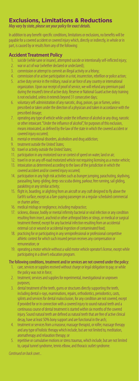# **Exclusions, Limitations & Reductions**

*May vary by state, please see your policy for exact details.* 

In addition to any benefit-specific conditions, limitations or exclusions, no benefits will be payable for a covered accident or covered injury which, directly or indirectly, in whole or in part, is caused by or results from any of the following:

#### **Accident Treatment Policy**

- 1. suicide (while sane or insane), attempted suicide or intentionally self-inflicted injury;
- 2. war or act of war (whether declared or undeclared);
- 3. commission or attempt to commit an illegal activity or a felony;
- 4. commission of or active participation in a riot, insurrection, rebellion or police action;
- 5. active duty service in the military, naval or air force of any country or international organization. Upon our receipt of proof of service, we will refund any premium paid during the insured's time of active duty. Reserve or National Guard active duty training is not excluded, unless it extends beyond 31 consecutive days;
- 6. voluntary self-administration of any narcotic, drug, poison, gas or fumes, unless prescribed or taken under the direction of a physician and taken in accordance with the prescribed dosage;
- 7. operating any type of vehicle while under the influence of alcohol or any drug, narcotic or other intoxicant. "Under the influence of alcohol", for purposes of this exclusion, means intoxicated, as defined by the law of the state in which the covered accident or covered injury occurred;
- 8. mental or emotional disorders, alcoholism and drug addiction;
- 9. treatment outside the United States;
- 10. travel or activity outside the United States;
- 11. participation in any motorized race or contest of speed on water, land or air;
- 12. travel in or on any off-road motorized vehicle not requiring licensing as a motor vehicle;
- 13. intoxication as determined according to the laws of the jurisdiction in which the covered accident and/or covered injury occurred;
- 14. participation in any high risk activities such as bungee jumping, parachuting, skydiving, parasailing, hang-gliding, deep-sea scuba diving, parkour, free running, sail gliding, parakiting or any similar activity;
- 15. flight in, boarding, or alighting from an aircraft or any craft designed to fly above the Earth's surface, except as a fare-paying passenger on a regular-scheduled commercial or charter airline;
- 16. medical mishap or negligence, including malpractice;
- 17. sickness, disease, bodily or mental infirmity bacterial or viral infection or any condition resulting from insect, arachnid or other arthropod bites or stings, or medical or surgical treatment thereof, except for any bacterial infection resulting from an accidental external cut or wound or accidental ingestion of contaminated food;
- 18. practicing for or participating in any semiprofessional or professional competitive athletic contest for which such insured person receives any compensation or remuneration; or
- 19. operating a motor vehicle without a valid motor vehicle operator's license, except while participating in a driver's education program.

#### The following conditions, treatment and/or services are not covered under the policy:

- 1. care, services or supplies received without charge or legal obligation to pay; or while the policy was not in force;
- 2. treatment, services and supplies for experimental, investigational or unproven purposes;
- 3. dental treatment of the teeth, gums or structures directly supporting the teeth, including dental x-rays, examinations, repairs, orthodontics, periodontics, casts, splints and services for dental malocclusion, for any condition are not covered, except if provided for or in connection with a covered injury to sound natural teeth and a continuous course of dental treatment is started within six months of the covered injury. Sound natural teeth are defined as natural teeth that are free of active clinical decay, have at least 50% bony support and are functional in the arch;
- 4. treatment or services from a masseur, massage therapist, or rolfer, massage therapy and any type of holistic therapy which include, but are not limited to, meditation, aromatherapy and relaxation therapy; or
- 5. repetitive or cumulative motions or stress traumas, which include, but are not limited to, carpal tunnel syndrome, tennis elbow, and thoracic outlet syndrome.

*Continued on back cover...*